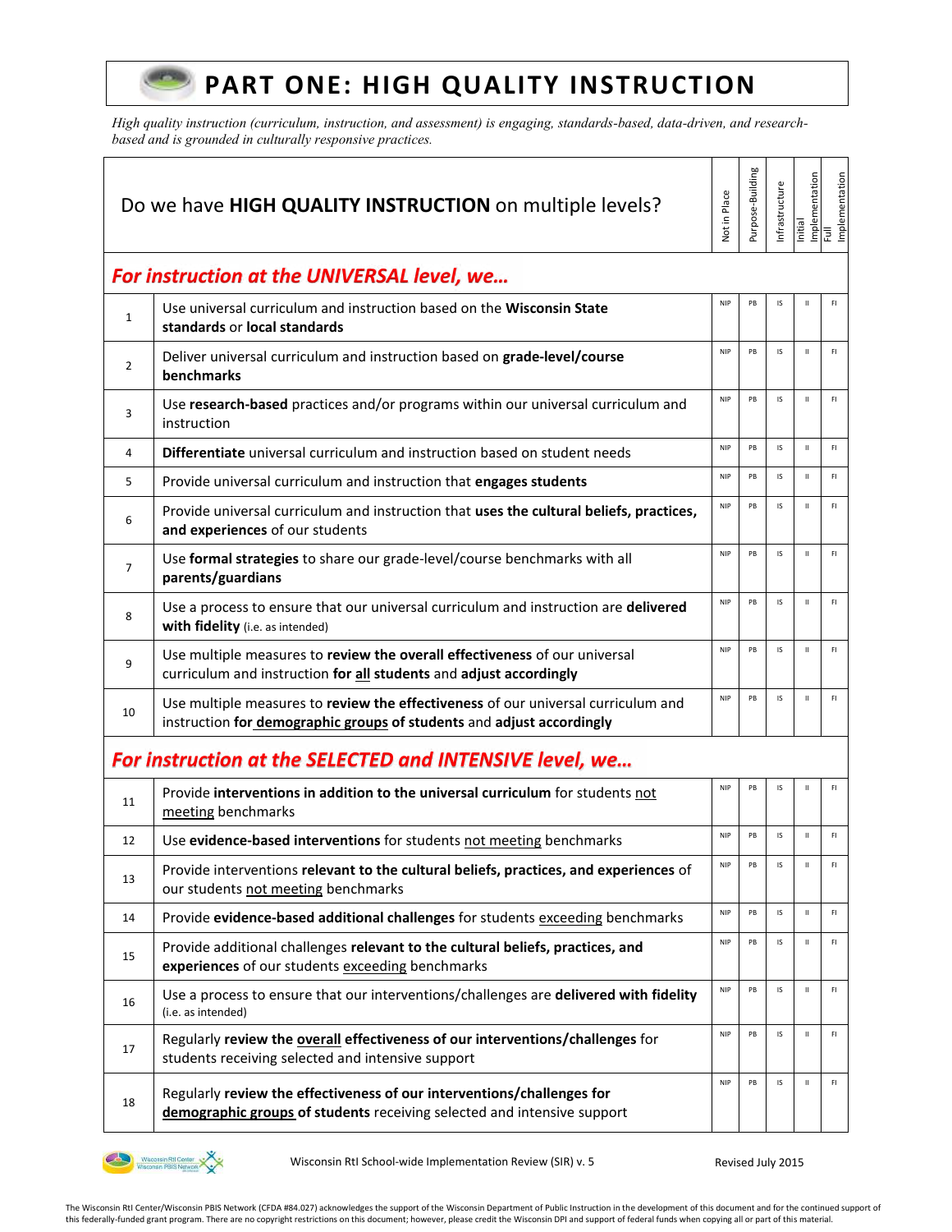## **PART ONE: HIGH QUALITY INSTRUCTION**

*High quality instruction (curriculum, instruction, and assessment) is engaging, standards-based, data-driven, and researchbased and is grounded in culturally responsive practices.* 

|                | Do we have HIGH QUALITY INSTRUCTION on multiple levels?                                                                                                    | <b>Vot in Place</b> | Purpose-Building | nfrastructure | Initial      | Implementation<br>Full<br>Implementation |
|----------------|------------------------------------------------------------------------------------------------------------------------------------------------------------|---------------------|------------------|---------------|--------------|------------------------------------------|
|                | For instruction at the UNIVERSAL level, we                                                                                                                 |                     |                  |               |              |                                          |
| $\mathbf{1}$   | Use universal curriculum and instruction based on the Wisconsin State<br>standards or local standards                                                      | <b>NIP</b>          | PB               | IS            | $\mathbf{H}$ | F1                                       |
| $\overline{2}$ | Deliver universal curriculum and instruction based on grade-level/course<br>benchmarks                                                                     | <b>NIP</b>          | PB               | IS            | $\mathbf H$  | F1                                       |
| 3              | Use research-based practices and/or programs within our universal curriculum and<br>instruction                                                            | <b>NIP</b>          | PB               | IS            | $\mathbf{H}$ | F1                                       |
| 4              | <b>Differentiate</b> universal curriculum and instruction based on student needs                                                                           | <b>NIP</b>          | PB               | IS            | $\mathbf{H}$ | F1                                       |
| 5              | Provide universal curriculum and instruction that engages students                                                                                         | <b>NIP</b>          | PB               | IS            | $\mathbf H$  | F1                                       |
| 6              | Provide universal curriculum and instruction that uses the cultural beliefs, practices,<br>and experiences of our students                                 | <b>NIP</b>          | PB               | IS            | $\mathbf H$  | F1                                       |
| $\overline{7}$ | Use formal strategies to share our grade-level/course benchmarks with all<br>parents/guardians                                                             | <b>NIP</b>          | PB               | IS            | $\mathbf{H}$ | F1                                       |
| 8              | Use a process to ensure that our universal curriculum and instruction are delivered<br>with fidelity (i.e. as intended)                                    | <b>NIP</b>          | PB               | IS            | $\mathbf{H}$ | F1                                       |
| 9              | Use multiple measures to review the overall effectiveness of our universal<br>curriculum and instruction for all students and adjust accordingly           | <b>NIP</b>          | PB               | IS            | $\mathbf H$  | F1                                       |
| 10             | Use multiple measures to review the effectiveness of our universal curriculum and<br>instruction for demographic groups of students and adjust accordingly | <b>NIP</b>          | PB               | IS            | $\mathbf{H}$ | F1                                       |
|                | For instruction at the SELECTED and INTENSIVE level, we                                                                                                    |                     |                  |               |              |                                          |
| 11             | Provide interventions in addition to the universal curriculum for students not<br>meeting benchmarks                                                       | <b>NIP</b>          | PB               | IS            | $\mathbf H$  | F1                                       |
| 12             | Use evidence-based interventions for students not meeting benchmarks                                                                                       | <b>NIP</b>          | PB               | IS            | $\mathbf{H}$ | F1                                       |
| 13             | Provide interventions relevant to the cultural beliefs, practices, and experiences of<br>our students not meeting benchmarks                               | <b>NIP</b>          | PB               |               |              | FI                                       |
| 14             | Provide evidence-based additional challenges for students exceeding benchmarks                                                                             | <b>NIP</b>          | PB               | IS            | $\mathbf H$  | F1                                       |
| 15             | Provide additional challenges relevant to the cultural beliefs, practices, and<br>experiences of our students exceeding benchmarks                         | <b>NIP</b>          | PB               | IS            | $\mathbf H$  | F1                                       |
| 16             | Use a process to ensure that our interventions/challenges are delivered with fidelity<br>(i.e. as intended)                                                | <b>NIP</b>          | PB               | IS            | $\mathbf H$  | F1                                       |
| 17             | Regularly review the overall effectiveness of our interventions/challenges for<br>students receiving selected and intensive support                        | <b>NIP</b>          | PB               | IS            | $\mathbf H$  | F1                                       |
| 18             | Regularly review the effectiveness of our interventions/challenges for<br>demographic groups of students receiving selected and intensive support          | <b>NIP</b>          | PB               | IS            | $\mathbf H$  | F1                                       |



 $(222)$ 

Wisconsin RtI School-wide Implementation Review (SIR) v. 5 Revised July 2015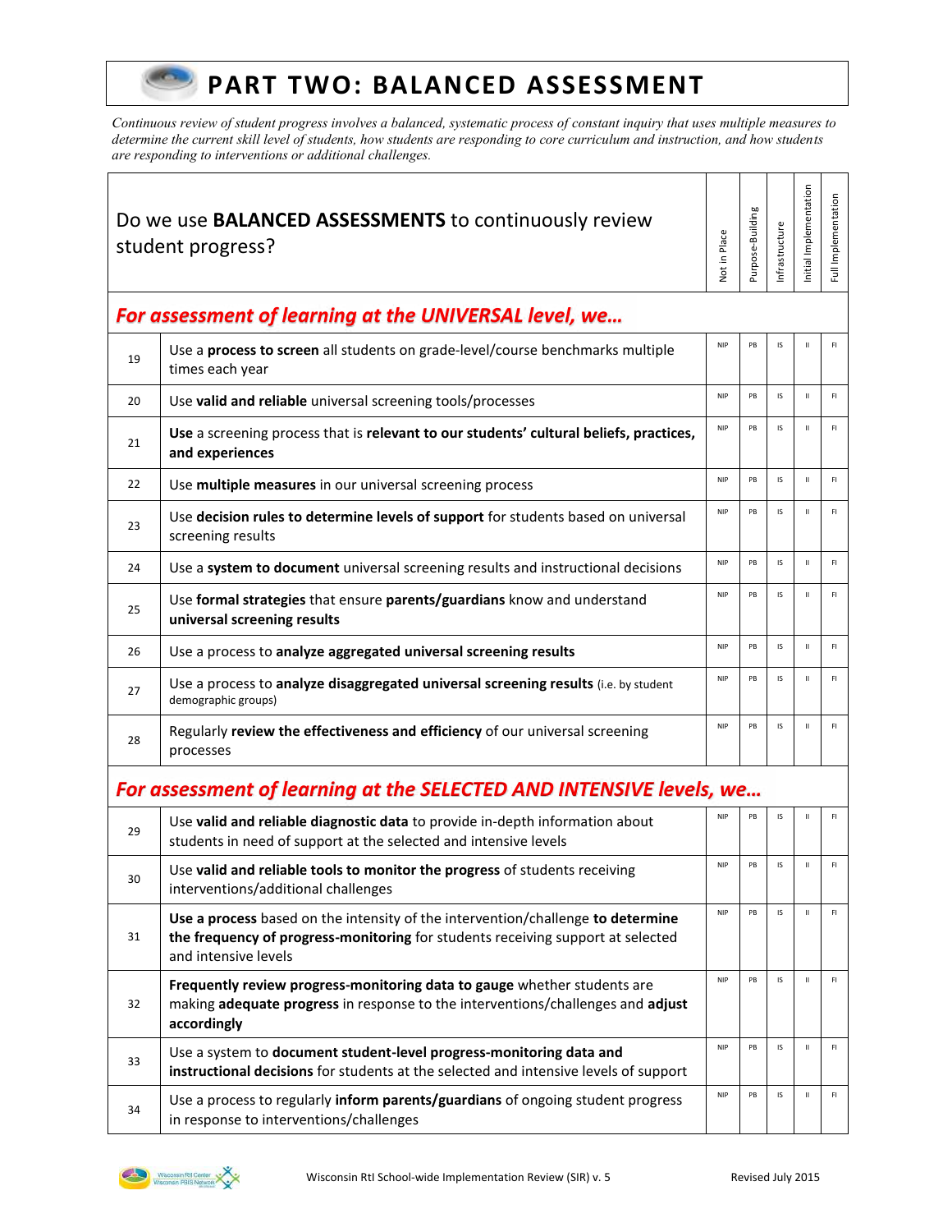### **PART TWO: BALANCED ASSESSMENT**

*Continuous review of student progress involves a balanced, systematic process of constant inquiry that uses multiple measures to determine the current skill level of students, how students are responding to core curriculum and instruction, and how students are responding to interventions or additional challenges.* 

| Do we use <b>BALANCED ASSESSMENTS</b> to continuously review<br>student progress? |                                                                                                                                                                                            | Not in Place | Purpose-Building | nfrastructure | nitial Implementation | Full Implementation |
|-----------------------------------------------------------------------------------|--------------------------------------------------------------------------------------------------------------------------------------------------------------------------------------------|--------------|------------------|---------------|-----------------------|---------------------|
|                                                                                   | For assessment of learning at the UNIVERSAL level, we                                                                                                                                      |              |                  |               |                       |                     |
| 19                                                                                | Use a process to screen all students on grade-level/course benchmarks multiple<br>times each year                                                                                          | <b>NIP</b>   | PB               | IS            | $\mathbf{H}$          | F1                  |
| 20                                                                                | Use valid and reliable universal screening tools/processes                                                                                                                                 | <b>NIP</b>   | PB               | IS            | $\mathbf{H}$          | FI.                 |
| 21                                                                                | Use a screening process that is relevant to our students' cultural beliefs, practices,<br>and experiences                                                                                  | <b>NIP</b>   | PB               | IS            | $\mathbf{H}$          | F1                  |
| 22                                                                                | Use multiple measures in our universal screening process                                                                                                                                   | <b>NIP</b>   | PB               | IS            | $\mathsf{II}$         | F1                  |
| 23                                                                                | Use decision rules to determine levels of support for students based on universal<br>screening results                                                                                     | <b>NIP</b>   | PB               | IS            | $\mathbf{H}$          | FI                  |
| 24                                                                                | Use a system to document universal screening results and instructional decisions                                                                                                           | <b>NIP</b>   | PB               | IS            | $\mathbf{H}$          | FI                  |
| 25                                                                                | Use formal strategies that ensure parents/guardians know and understand<br>universal screening results                                                                                     | <b>NIP</b>   | PB               | IS            | $\mathbf{H}$          | F1                  |
| 26                                                                                | Use a process to analyze aggregated universal screening results                                                                                                                            | <b>NIP</b>   | PB               | IS            | $\mathbf{H}$          | F1                  |
| 27                                                                                | Use a process to analyze disaggregated universal screening results (i.e. by student<br>demographic groups)                                                                                 | <b>NIP</b>   | PB               | IS            | $\mathsf{II}$         | F1                  |
| 28                                                                                | Regularly review the effectiveness and efficiency of our universal screening<br>processes                                                                                                  | <b>NIP</b>   | PB               | IS            | $\mathbf H$           | F1                  |
|                                                                                   | For assessment of learning at the SELECTED AND INTENSIVE levels, we                                                                                                                        |              |                  |               |                       |                     |
| 29                                                                                | Use valid and reliable diagnostic data to provide in-depth information about<br>students in need of support at the selected and intensive levels                                           | <b>NIP</b>   | PB               | IS            | Ш                     | F1                  |
| 30                                                                                | Use valid and reliable tools to monitor the progress of students receiving<br>interventions/additional challenges                                                                          | <b>NIP</b>   | PB               | IS            | $\mathbf H$           | F1                  |
| 31                                                                                | Use a process based on the intensity of the intervention/challenge to determine<br>the frequency of progress-monitoring for students receiving support at selected<br>and intensive levels | <b>NIP</b>   | PB               | IS            | $\mathbf H$           | F1                  |
| 32                                                                                | Frequently review progress-monitoring data to gauge whether students are<br>making adequate progress in response to the interventions/challenges and adjust<br>accordingly                 | <b>NIP</b>   | PB               | IS            | $\mathbf{H}$          | F1                  |
| 33                                                                                | Use a system to document student-level progress-monitoring data and<br>instructional decisions for students at the selected and intensive levels of support                                | <b>NIP</b>   | PB               | IS            | $\mathsf{II}$         | F1                  |
| 34                                                                                | Use a process to regularly inform parents/guardians of ongoing student progress<br>in response to interventions/challenges                                                                 | <b>NIP</b>   | PB               | IS            | $\mathbf H$           | F1                  |

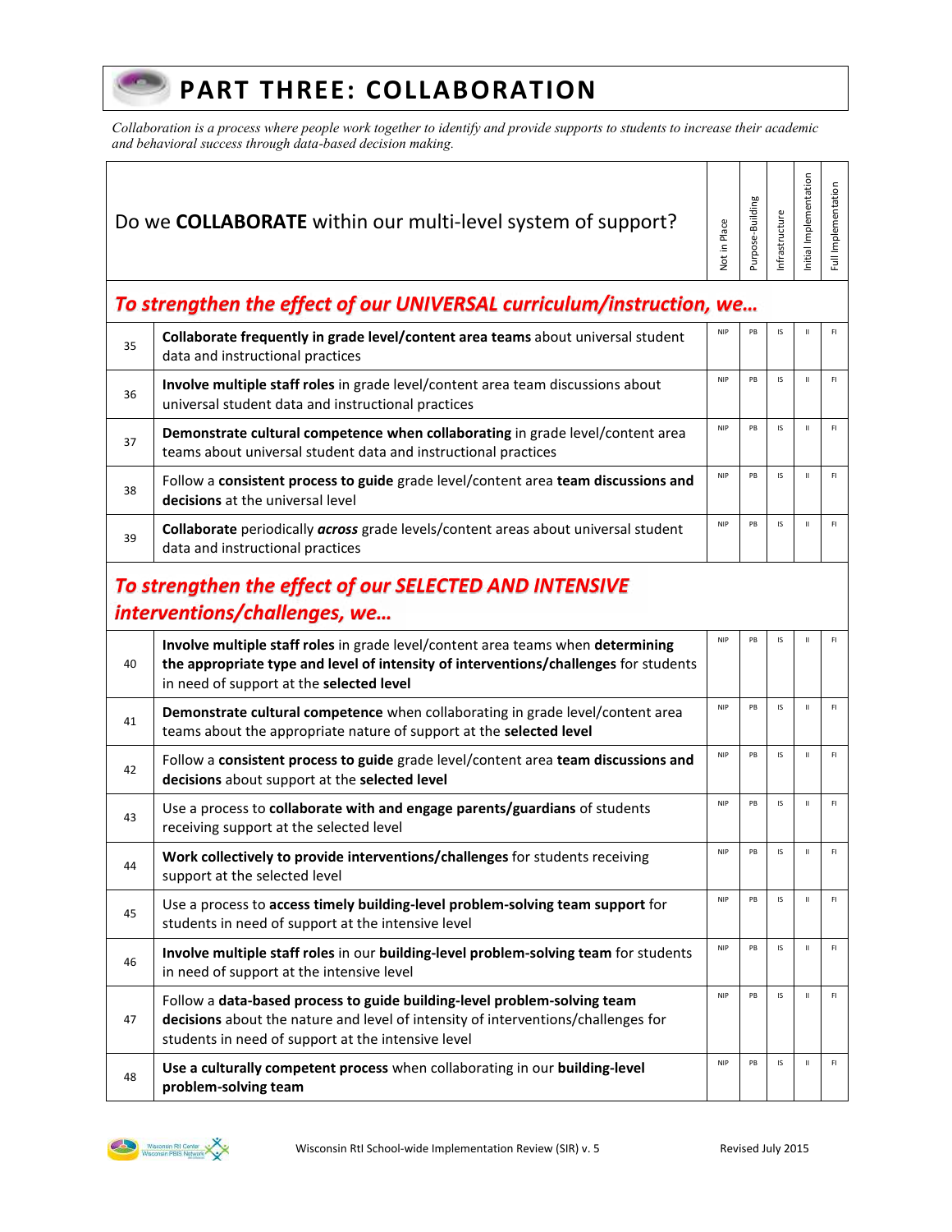## **PART THREE: COLLABORATION**

*Collaboration is a process where people work together to identify and provide supports to students to increase their academic and behavioral success through data-based decision making.* 

Τ

Τ ┬ Τ ─┬ ┑

|                                                                                        | Do we <b>COLLABORATE</b> within our multi-level system of support?                                                                                                                                                  | Not in Place | Purpose-Building | Infrastructure | nitial Implementation                                                                        | Full Implementation |
|----------------------------------------------------------------------------------------|---------------------------------------------------------------------------------------------------------------------------------------------------------------------------------------------------------------------|--------------|------------------|----------------|----------------------------------------------------------------------------------------------|---------------------|
|                                                                                        | To strengthen the effect of our UNIVERSAL curriculum/instruction, we                                                                                                                                                |              |                  |                |                                                                                              |                     |
| 35                                                                                     | Collaborate frequently in grade level/content area teams about universal student<br>data and instructional practices                                                                                                | <b>NIP</b>   | PB               | IS             | Ш                                                                                            | F1                  |
| 36                                                                                     | Involve multiple staff roles in grade level/content area team discussions about<br>universal student data and instructional practices                                                                               | <b>NIP</b>   | PB               | IS             | $\rm H$                                                                                      | F1                  |
| 37                                                                                     | Demonstrate cultural competence when collaborating in grade level/content area<br>teams about universal student data and instructional practices                                                                    | <b>NIP</b>   | PB               | IS             | $\mathbf H$                                                                                  | F1                  |
| 38                                                                                     | Follow a consistent process to guide grade level/content area team discussions and<br>decisions at the universal level                                                                                              | <b>NIP</b>   | PB               | IS             | $\mathbf H$                                                                                  | F1                  |
| 39                                                                                     | Collaborate periodically across grade levels/content areas about universal student<br>data and instructional practices                                                                                              | <b>NIP</b>   | PB               | IS             | $\mathsf{H}% _{0}\left( \mathcal{M}_{0}\right) =\mathsf{H}_{0}\left( \mathcal{M}_{0}\right)$ | F1                  |
| To strengthen the effect of our SELECTED AND INTENSIVE<br>interventions/challenges, we |                                                                                                                                                                                                                     |              |                  |                |                                                                                              |                     |
| 40                                                                                     | Involve multiple staff roles in grade level/content area teams when determining<br>the appropriate type and level of intensity of interventions/challenges for students<br>in need of support at the selected level | <b>NIP</b>   | PB               | IS             | $\mathbf{H}$                                                                                 | F1                  |
| 41                                                                                     | Demonstrate cultural competence when collaborating in grade level/content area<br>teams about the appropriate nature of support at the selected level                                                               | <b>NIP</b>   | PB               | IS             | $\mathbf H$                                                                                  | F1                  |
| 42                                                                                     | Follow a consistent process to guide grade level/content area team discussions and<br>decisions about support at the selected level                                                                                 | <b>NIP</b>   | PB               | IS             | $\mathbf H$                                                                                  | F1                  |
| 43                                                                                     | Use a process to collaborate with and engage parents/guardians of students<br>receiving support at the selected level                                                                                               | <b>NIP</b>   | PB               | IS             | $\mathbf{H}$                                                                                 | F1                  |
| 44                                                                                     | Work collectively to provide interventions/challenges for students receiving<br>support at the selected level                                                                                                       | <b>NIP</b>   | PB               | IS             | $\mathbf H$                                                                                  | F1                  |
| 45                                                                                     | Use a process to access timely building-level problem-solving team support for<br>students in need of support at the intensive level                                                                                | <b>NIP</b>   | PB               | IS             | $\mathbf H$                                                                                  | F1                  |
| 46                                                                                     | Involve multiple staff roles in our building-level problem-solving team for students<br>in need of support at the intensive level                                                                                   | <b>NIP</b>   | PB               | IS             | $\mathbf H$                                                                                  | F1                  |
| 47                                                                                     | Follow a data-based process to guide building-level problem-solving team<br>decisions about the nature and level of intensity of interventions/challenges for<br>students in need of support at the intensive level | <b>NIP</b>   | PB               | IS             | $\mathbf H$                                                                                  | F1                  |
| 48                                                                                     | Use a culturally competent process when collaborating in our building-level<br>problem-solving team                                                                                                                 | <b>NIP</b>   | PB               | IS             | $\mathbf H$                                                                                  | F1                  |



 $\left( -1\right)$ 

Г